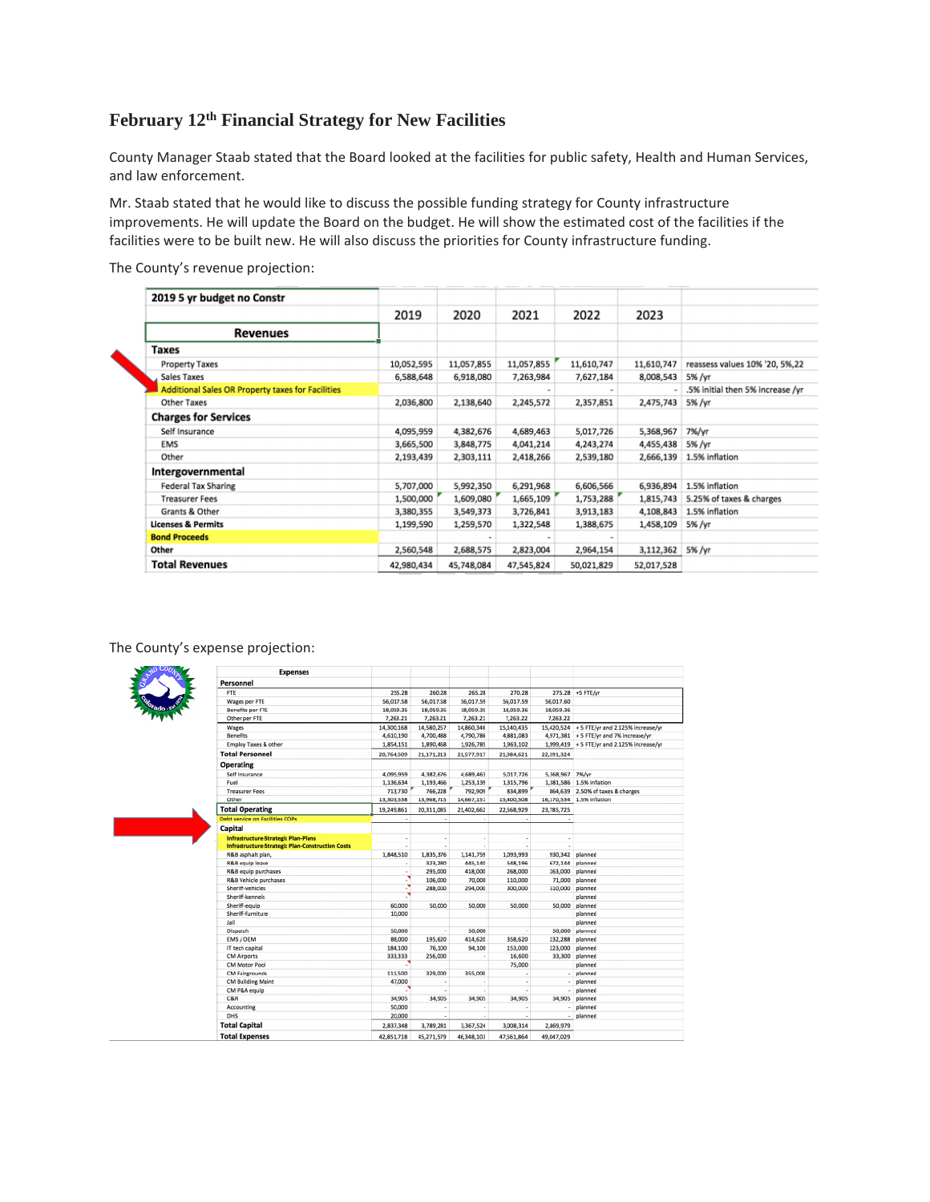# **February 12th Financial Strategy for New Facilities**

County Manager Staab stated that the Board looked at the facilities for public safety, Health and Human Services, and law enforcement.

Mr. Staab stated that he would like to discuss the possible funding strategy for County infrastructure improvements. He will update the Board on the budget. He will show the estimated cost of the facilities if the facilities were to be built new. He will also discuss the priorities for County infrastructure funding.

The County's revenue projection:

| 2019       | 2020       | 2021       | 2022       | 2023       |                                  |
|------------|------------|------------|------------|------------|----------------------------------|
|            |            |            |            |            |                                  |
|            |            |            |            |            |                                  |
| 10,052,595 | 11,057,855 | 11,057,855 | 11,610,747 | 11,610,747 | reassess values 10% '20, 5%,22   |
| 6,588,648  | 6,918,080  | 7,263,984  | 7,627,184  | 8,008,543  | 5% /yr                           |
|            |            |            |            |            | .5% initial then 5% increase /vr |
| 2,036,800  | 2,138,640  | 2,245,572  | 2,357,851  | 2,475,743  | 5% /yr                           |
|            |            |            |            |            |                                  |
| 4,095,959  | 4,382,676  | 4,689,463  | 5,017,726  | 5,368,967  | 7%/yr                            |
| 3,665,500  | 3,848,775  | 4,041,214  | 4,243,274  | 4,455,438  | 5% /yr                           |
| 2,193,439  | 2,303,111  | 2,418,266  | 2,539,180  | 2,666,139  | 1.5% inflation                   |
|            |            |            |            |            |                                  |
| 5,707,000  | 5,992,350  | 6,291,968  | 6,606,566  | 6,936,894  | 1.5% inflation                   |
| 1,500,000  | 1,609,080  | 1,665,109  | 1,753,288  | 1,815,743  | 5.25% of taxes & charges         |
| 3,380,355  | 3,549,373  | 3,726,841  | 3,913,183  | 4,108,843  | 1.5% inflation                   |
| 1,199,590  | 1,259,570  | 1,322,548  | 1,388,675  | 1,458,109  | 5% /yr                           |
|            |            |            |            |            |                                  |
| 2,560,548  | 2,688,575  | 2,823,004  | 2,964,154  | 3,112,362  | 5% /yr                           |
| 42,980,434 | 45,748,084 | 47,545,824 | 50,021,829 | 52,017,528 |                                  |
|            |            |            |            |            |                                  |

The County's expense projection:

г

| <b>Expenses</b>                                         |            |            |            |            |                 |                                              |
|---------------------------------------------------------|------------|------------|------------|------------|-----------------|----------------------------------------------|
| Personnel                                               |            |            |            |            |                 |                                              |
| <b>FTE</b>                                              | 255.28     | 260.28     | 265.28     | 270.28     |                 | 275.28 +5 FTE/yr                             |
| Wages per FTE                                           | 56,017.58  | 56,017.58  | 56,017.59  | 56,017.59  | 56,017.60       |                                              |
| Benefits per FTE                                        | 18,059.35  | 18,059.35  | 18,059.35  | 18,059.36  | 18,059.36       |                                              |
| Other per FTE                                           | 7,263.21   | 7,263.21   | 7,263.21   | 7,263.22   | 7,263.22        |                                              |
| Wages                                                   | 14,300,168 | 14,580,257 | 14,860,346 | 15,140,435 |                 | 15,420,524 + 5 FTE/yr and 2.125% increase/yr |
| <b>Benefits</b>                                         | 4,610,190  | 4,700,488  | 4,790,786  | 4,881,083  |                 | 4,971,381 + 5 FTE/yr and 7% increase/yr      |
| Employ Taxes & other                                    | 1,854,151  | 1,890,468  | 1,926,785  | 1,963,102  |                 | 1.999,419 + 5 FTE/vr and 2.125% increase/vr  |
| <b>Total Personnel</b>                                  | 20,764,509 | 21,171,213 | 21,577,917 | 21,984,621 | 22,391,324      |                                              |
| <b>Operating</b>                                        |            |            |            |            |                 |                                              |
| Self Insurance                                          | 4,095,959  | 4,382,676  | 4,689,463  | 5,017,726  | 5,368,967 7%/yr |                                              |
| Fuel                                                    | 1,136,634  | 1,193,466  | 1,253,139  | 1,315,796  |                 | 1.381.586 1.5% inflation                     |
| <b>Treasurer Fees</b>                                   | 713,730    | 766,228    | 792,909    | 834,899    | 864,639         | 2.50% of taxes & charges                     |
| Other                                                   | 13,303,538 | 13,968,715 | 14,667,151 | 15,400,508 |                 | 16,170,534 1.5% inflation                    |
| <b>Total Operating</b>                                  |            |            |            |            |                 |                                              |
|                                                         | 19,249,861 | 20,311,085 | 21,402,662 | 22,568,929 | 23,785,725      |                                              |
| Debt service on Facilities COPs                         | $\sim$     | $\sim$     | $\sim$     | $\sim$     |                 |                                              |
| Capital                                                 |            |            |            |            |                 |                                              |
| <b>Infrastructure-Strategic Plan-Plans</b>              | $\sim$     |            | ×          |            |                 |                                              |
| <b>Infrastructure-Strategic Plan-Construction Costs</b> | $\sim$     |            | ٠          |            | $\sim$          |                                              |
| R&B asphalt plan,                                       | 1,848,510  | 1,835,376  | 1,141,759  | 1,093,993  | 930, 342        | planned                                      |
| R&B equip lease                                         | $\alpha$   | 323,280    | 445,140    | 548,196    | 672,144         | planned                                      |
| R&B equip purchases                                     | $\sim$     | 295,000    | 418,000    | 268,000    |                 | 263,000 planned                              |
| R&B Vehicle purchases                                   |            | 106,000    | 70,000     | 110,000    | 71,000          | planned                                      |
| Sheriff-vehicles                                        |            | 288,000    | 294,000    | 300,000    | 310,000         | planned                                      |
| Sheriff-kennels                                         |            |            |            |            |                 | planned                                      |
| Sheriff-equip                                           | 60,000     | 50,000     | 50,000     | 50,000     | 50,000          | planned                                      |
| Sheriff-furniture                                       | 10,000     |            |            |            |                 | planned                                      |
| Jail                                                    |            |            |            |            |                 | planned                                      |
| Dispatch                                                | 50,000     |            | 50,000     |            |                 | 50,000 planned                               |
| EMS / OEM                                               | 88,000     | 195,620    | 414,620    | 358,620    | 232,288         | planned                                      |
| IT tech capital                                         | 184,100    | 76,100     | 94,100     | 153,000    | 223,000         | planned                                      |
| <b>CM Airports</b>                                      | 333,333    | 256,000    | ×          | 16,600     | 33,300          | planned                                      |
| CM Motor Pool                                           | э          |            |            | 75,000     |                 | planned                                      |
| <b>CM Fairgrounds</b>                                   | 111,500    | 329,000    | 355,000    |            |                 | planned                                      |
| <b>CM Building Maint</b>                                | 47,000     |            | ٠          | $\cdot$    |                 | planned                                      |
| CM P&A equip                                            |            |            | ٠          |            |                 | planned                                      |
| C&R                                                     | 34,905     | 34,905     | 34,905     | 34,905     | 34,905          | planned                                      |
| Accounting                                              | 50,000     |            | ٠          |            |                 | planned                                      |
| DHS                                                     | 20,000     |            | ٠          |            |                 | planned                                      |
| <b>Total Capital</b>                                    | 2,837,348  | 3,789,281  | 3,367,524  | 3,008,314  | 2,869,979       |                                              |
| <b>Total Expenses</b>                                   | 42,851,718 | 45,271,579 | 46,348,103 | 47,561,864 | 49.047.029      |                                              |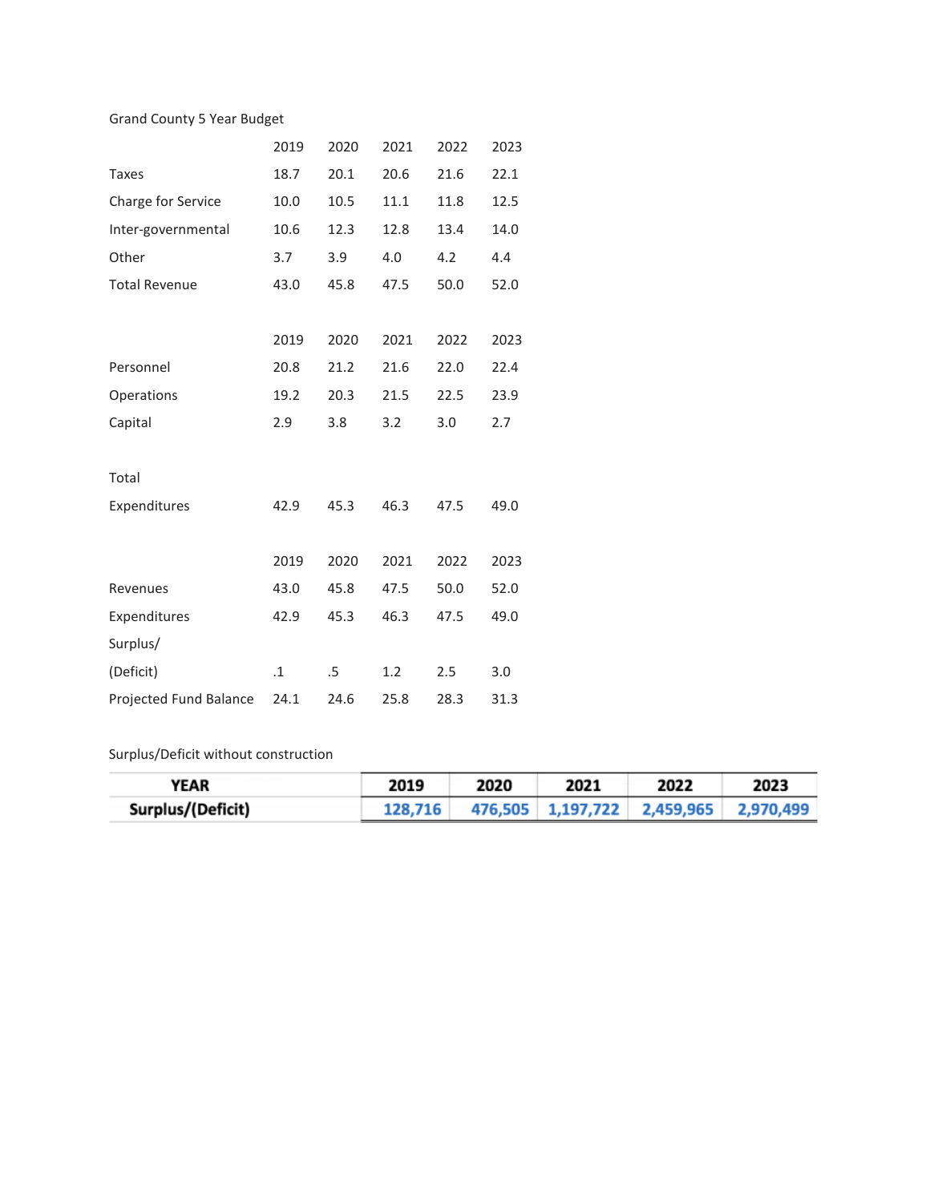## Grand County 5 Year Budget

|                        | 2019      | 2020 | 2021 | 2022 | 2023 |
|------------------------|-----------|------|------|------|------|
| <b>Taxes</b>           | 18.7      | 20.1 | 20.6 | 21.6 | 22.1 |
| Charge for Service     | 10.0      | 10.5 | 11.1 | 11.8 | 12.5 |
| Inter-governmental     | 10.6      | 12.3 | 12.8 | 13.4 | 14.0 |
| Other                  | 3.7       | 3.9  | 4.0  | 4.2  | 4.4  |
| <b>Total Revenue</b>   | 43.0      | 45.8 | 47.5 | 50.0 | 52.0 |
|                        |           |      |      |      |      |
|                        | 2019      | 2020 | 2021 | 2022 | 2023 |
| Personnel              | 20.8      | 21.2 | 21.6 | 22.0 | 22.4 |
| Operations             | 19.2      | 20.3 | 21.5 | 22.5 | 23.9 |
| Capital                | 2.9       | 3.8  | 3.2  | 3.0  | 2.7  |
|                        |           |      |      |      |      |
| Total                  |           |      |      |      |      |
| Expenditures           | 42.9      | 45.3 | 46.3 | 47.5 | 49.0 |
|                        |           |      |      |      |      |
|                        | 2019      | 2020 | 2021 | 2022 | 2023 |
| Revenues               | 43.0      | 45.8 | 47.5 | 50.0 | 52.0 |
| Expenditures           | 42.9      | 45.3 | 46.3 | 47.5 | 49.0 |
| Surplus/               |           |      |      |      |      |
| (Deficit)              | $\cdot$ 1 | .5   | 1.2  | 2.5  | 3.0  |
| Projected Fund Balance | 24.1      | 24.6 | 25.8 | 28.3 | 31.3 |

## Surplus/Deficit without construction

| YEAR              | 2019    | 2020 | 2021 | 2022                                  | 2023 |
|-------------------|---------|------|------|---------------------------------------|------|
| Surplus/(Deficit) | 128,716 |      |      | 476,505 1,197,722 2,459,965 2,970,499 |      |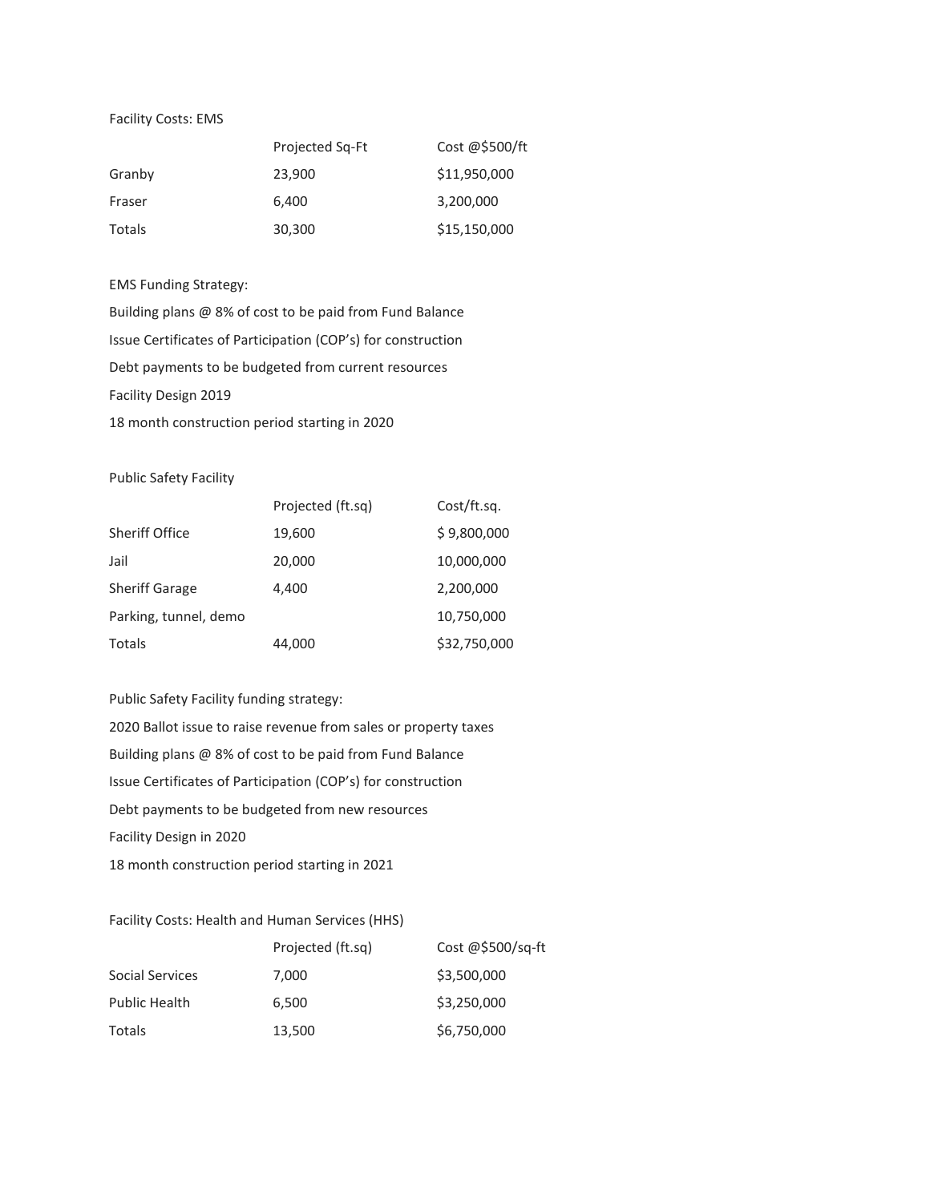#### Facility Costs: EMS

|        | Projected Sq-Ft | Cost @\$500/ft |
|--------|-----------------|----------------|
| Granby | 23,900          | \$11,950,000   |
| Fraser | 6,400           | 3,200,000      |
| Totals | 30,300          | \$15,150,000   |

## EMS Funding Strategy:

Building plans @ 8% of cost to be paid from Fund Balance Issue Certificates of Participation (COP's) for construction Debt payments to be budgeted from current resources Facility Design 2019 18 month construction period starting in 2020

### Public Safety Facility

|                       | Projected (ft.sq) | Cost/ft.sq.  |
|-----------------------|-------------------|--------------|
| Sheriff Office        | 19,600            | \$9,800,000  |
| Jail                  | 20,000            | 10,000,000   |
| <b>Sheriff Garage</b> | 4.400             | 2,200,000    |
| Parking, tunnel, demo |                   | 10,750,000   |
| Totals                | 44,000            | \$32,750,000 |

## Public Safety Facility funding strategy:

2020 Ballot issue to raise revenue from sales or property taxes Building plans @ 8% of cost to be paid from Fund Balance Issue Certificates of Participation (COP's) for construction Debt payments to be budgeted from new resources Facility Design in 2020 18 month construction period starting in 2021

### Facility Costs: Health and Human Services (HHS)

|                      | Projected (ft.sq) | Cost @\$500/sq-ft |
|----------------------|-------------------|-------------------|
| Social Services      | 7.000             | \$3,500,000       |
| <b>Public Health</b> | 6.500             | \$3,250,000       |
| <b>Totals</b>        | 13,500            | \$6,750,000       |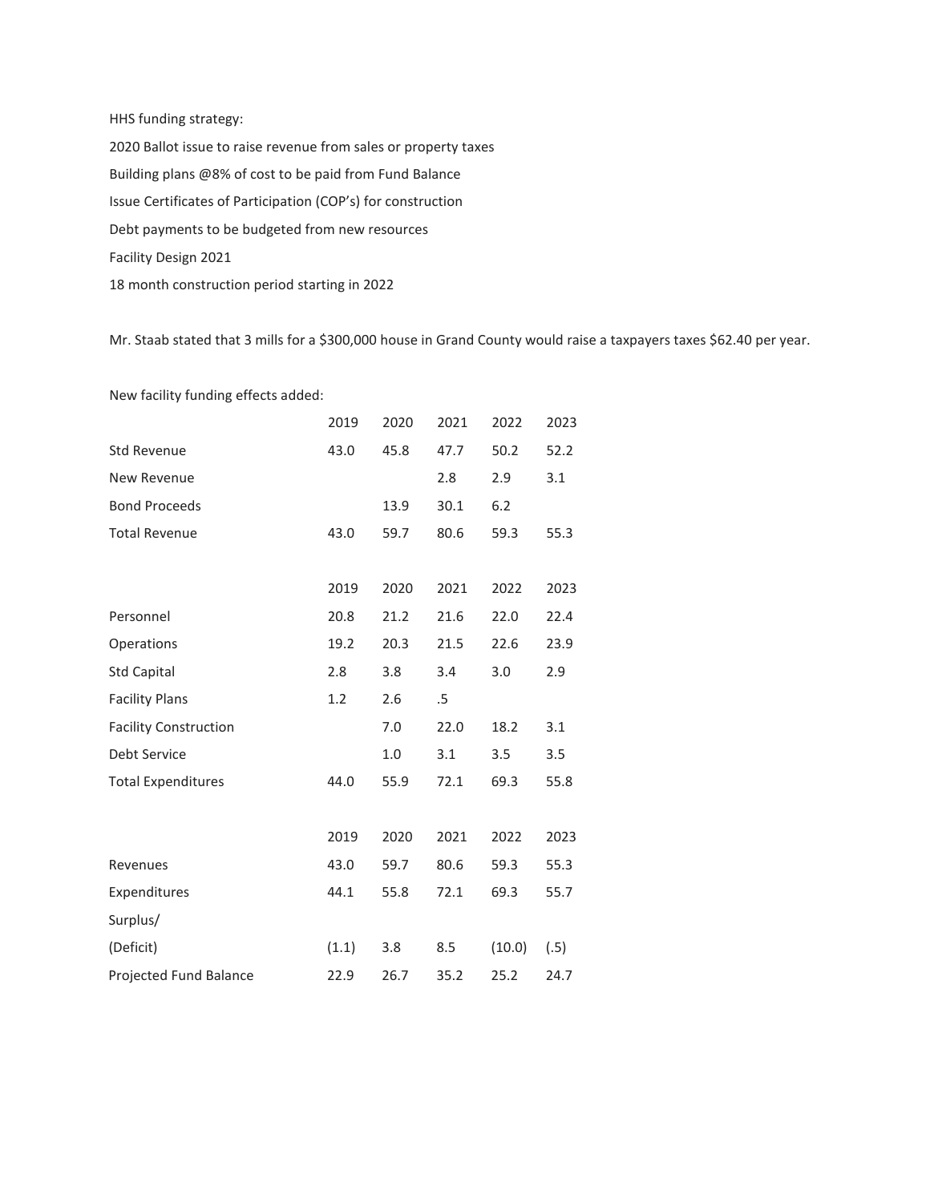HHS funding strategy: 2020 Ballot issue to raise revenue from sales or property taxes Building plans @8% of cost to be paid from Fund Balance Issue Certificates of Participation (COP's) for construction Debt payments to be budgeted from new resources Facility Design 2021 18 month construction period starting in 2022

Mr. Staab stated that 3 mills for a \$300,000 house in Grand County would raise a taxpayers taxes \$62.40 per year.

New facility funding effects added:

|                              | 2019  | 2020 | 2021 | 2022   | 2023 |
|------------------------------|-------|------|------|--------|------|
| <b>Std Revenue</b>           | 43.0  | 45.8 | 47.7 | 50.2   | 52.2 |
| New Revenue                  |       |      | 2.8  | 2.9    | 3.1  |
| <b>Bond Proceeds</b>         |       | 13.9 | 30.1 | 6.2    |      |
| <b>Total Revenue</b>         | 43.0  | 59.7 | 80.6 | 59.3   | 55.3 |
|                              |       |      |      |        |      |
|                              | 2019  | 2020 | 2021 | 2022   | 2023 |
| Personnel                    | 20.8  | 21.2 | 21.6 | 22.0   | 22.4 |
| Operations                   | 19.2  | 20.3 | 21.5 | 22.6   | 23.9 |
| <b>Std Capital</b>           | 2.8   | 3.8  | 3.4  | 3.0    | 2.9  |
| <b>Facility Plans</b>        | 1.2   | 2.6  | .5   |        |      |
| <b>Facility Construction</b> |       | 7.0  | 22.0 | 18.2   | 3.1  |
| Debt Service                 |       | 1.0  | 3.1  | 3.5    | 3.5  |
| <b>Total Expenditures</b>    | 44.0  | 55.9 | 72.1 | 69.3   | 55.8 |
|                              |       |      |      |        |      |
|                              | 2019  | 2020 | 2021 | 2022   | 2023 |
| Revenues                     | 43.0  | 59.7 | 80.6 | 59.3   | 55.3 |
| Expenditures                 | 44.1  | 55.8 | 72.1 | 69.3   | 55.7 |
| Surplus/                     |       |      |      |        |      |
| (Deficit)                    | (1.1) | 3.8  | 8.5  | (10.0) | (.5) |
| Projected Fund Balance       | 22.9  | 26.7 | 35.2 | 25.2   | 24.7 |